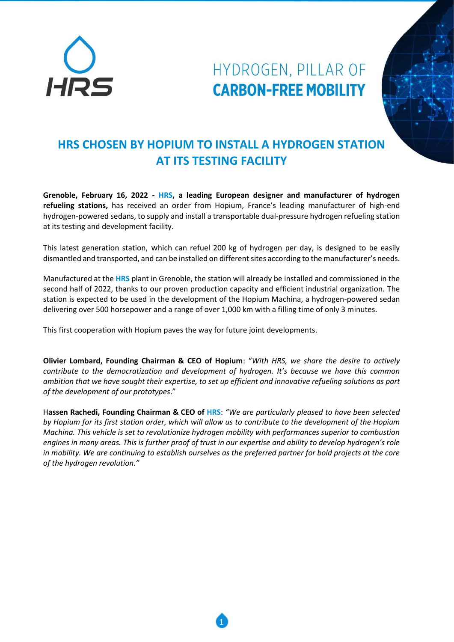

## HYDROGEN, PILLAR OF **CARBON-FREE MOBILITY**



## **HRS CHOSEN BY HOPIUM TO INSTALL A HYDROGEN STATION AT ITS TESTING FACILITY**

**Grenoble, February 16, 2022 - HRS, a leading European designer and manufacturer of hydrogen refueling stations,** has received an order from Hopium, France's leading manufacturer of high-end hydrogen-powered sedans, to supply and install a transportable dual-pressure hydrogen refueling station at its testing and development facility.

This latest generation station, which can refuel 200 kg of hydrogen per day, is designed to be easily dismantled and transported, and can be installed on different sites according to the manufacturer's needs.

Manufactured at the **HRS** plant in Grenoble, the station will already be installed and commissioned in the second half of 2022, thanks to our proven production capacity and efficient industrial organization. The station is expected to be used in the development of the Hopium Machina, a hydrogen-powered sedan delivering over 500 horsepower and a range of over 1,000 km with a filling time of only 3 minutes.

This first cooperation with Hopium paves the way for future joint developments.

**Olivier Lombard, Founding Chairman & CEO of Hopium**: "*With HRS, we share the desire to actively contribute to the democratization and development of hydrogen. It's because we have this common ambition that we have sought their expertise, to set up efficient and innovative refueling solutions as part of the development of our prototypes*."

H**assen Rachedi, Founding Chairman & CEO of HRS**: *"We are particularly pleased to have been selected by Hopium for its first station order, which will allow us to contribute to the development of the Hopium Machina. This vehicle is set to revolutionize hydrogen mobility with performances superior to combustion engines in many areas. This is further proof of trust in our expertise and ability to develop hydrogen's role in mobility. We are continuing to establish ourselves as the preferred partner for bold projects at the core of the hydrogen revolution."*